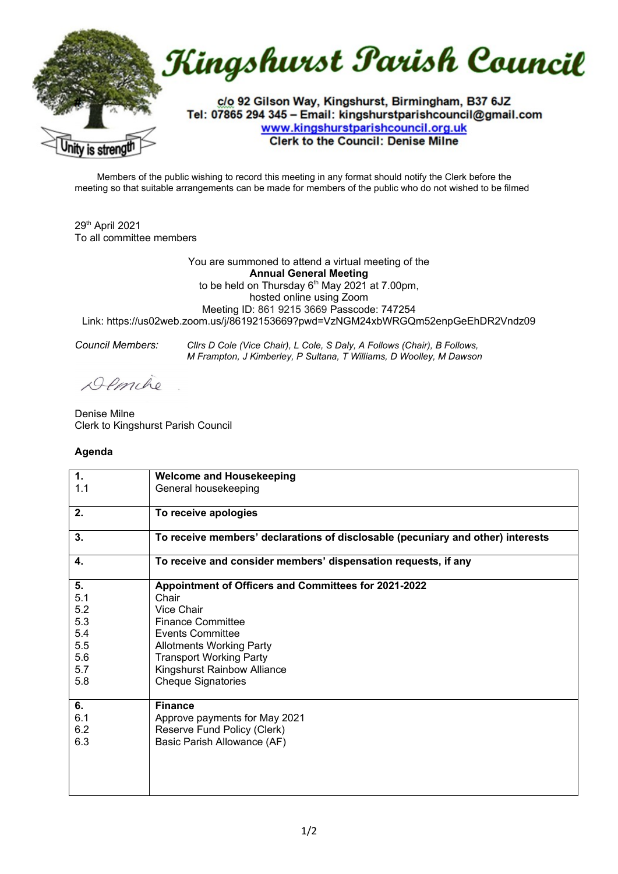

Members of the public wishing to record this meeting in any format should notify the Clerk before the meeting so that suitable arrangements can be made for members of the public who do not wished to be filmed

29th April 2021 To all committee members

You are summoned to attend a virtual meeting of the **Annual General Meeting**  to be held on Thursday  $6<sup>th</sup>$  May 2021 at 7.00pm, hosted online using Zoom Meeting ID: 861 9215 3669 Passcode: 747254 Link: https://us02web.zoom.us/j/86192153669?pwd=VzNGM24xbWRGQm52enpGeEhDR2Vndz09

*Council Members: Cllrs D Cole (Vice Chair), L Cole, S Daly, A Follows (Chair), B Follows, M Frampton, J Kimberley, P Sultana, T Williams, D Woolley, M Dawson*

Demilio

Denise Milne Clerk to Kingshurst Parish Council

## **Agenda**

| 1.<br>1.1 | <b>Welcome and Housekeeping</b><br>General housekeeping                         |
|-----------|---------------------------------------------------------------------------------|
|           |                                                                                 |
| 2.        | To receive apologies                                                            |
| 3.        | To receive members' declarations of disclosable (pecuniary and other) interests |
| 4.        | To receive and consider members' dispensation requests, if any                  |
| 5.        | Appointment of Officers and Committees for 2021-2022                            |
| 5.1       | Chair                                                                           |
| 5.2       | Vice Chair                                                                      |
| 5.3       | <b>Finance Committee</b>                                                        |
| 5.4       | <b>Events Committee</b>                                                         |
| 5.5       | <b>Allotments Working Party</b>                                                 |
| 5.6       | <b>Transport Working Party</b>                                                  |
| 5.7       | Kingshurst Rainbow Alliance                                                     |
| 5.8       | <b>Cheque Signatories</b>                                                       |
| 6.        | <b>Finance</b>                                                                  |
| 6.1       | Approve payments for May 2021                                                   |
| 6.2       | Reserve Fund Policy (Clerk)                                                     |
| 6.3       | Basic Parish Allowance (AF)                                                     |
|           |                                                                                 |
|           |                                                                                 |
|           |                                                                                 |
|           |                                                                                 |